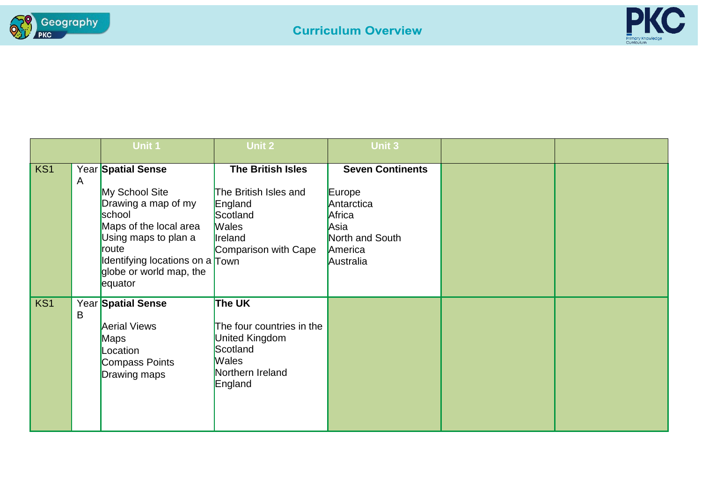



|     |   | <b>Unit 1</b>                                                                                                                                                                                             | Unit 2                                                                                                                      | <b>Unit 3</b>                                                                                                |  |
|-----|---|-----------------------------------------------------------------------------------------------------------------------------------------------------------------------------------------------------------|-----------------------------------------------------------------------------------------------------------------------------|--------------------------------------------------------------------------------------------------------------|--|
| KS1 | A | Year Spatial Sense<br>My School Site<br>Drawing a map of my<br>school<br>Maps of the local area<br>Using maps to plan a<br>route<br>Identifying locations on a Town<br>globe or world map, the<br>equator | <b>The British Isles</b><br>The British Isles and<br>England<br>Scotland<br><b>Wales</b><br>Ireland<br>Comparison with Cape | <b>Seven Continents</b><br>Europe<br>Antarctica<br>Africa<br>Asia<br>North and South<br>America<br>Australia |  |
| KS1 | B | Year Spatial Sense<br><b>Aerial Views</b><br><b>Maps</b><br>Location<br>Compass Points<br>Drawing maps                                                                                                    | The UK<br>The four countries in the<br><b>United Kingdom</b><br>Scotland<br><b>Wales</b><br>Northern Ireland<br>England     |                                                                                                              |  |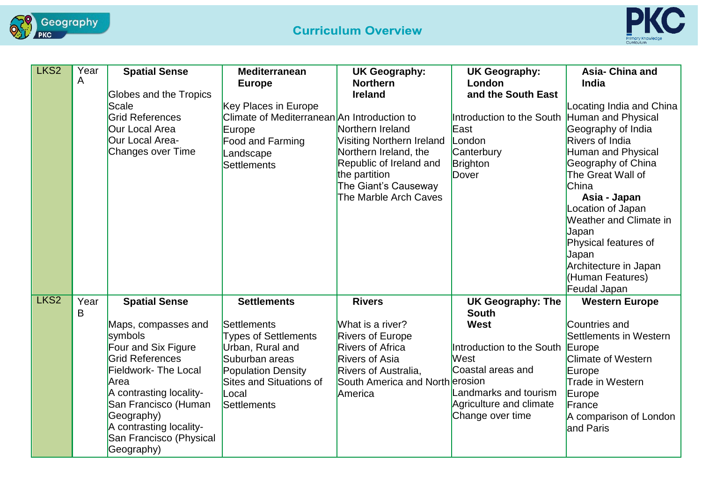



| LKS <sub>2</sub> | Year<br>A | <b>Spatial Sense</b>            | <b>Mediterranean</b>                        | <b>UK Geography:</b>             | <b>UK Geography:</b>                     | Asia- China and                  |
|------------------|-----------|---------------------------------|---------------------------------------------|----------------------------------|------------------------------------------|----------------------------------|
|                  |           |                                 | <b>Europe</b>                               | <b>Northern</b>                  | London                                   | India                            |
|                  |           | Globes and the Tropics<br>Scale | Key Places in Europe                        | <b>Ireland</b>                   | and the South East                       | Locating India and China         |
|                  |           | <b>Grid References</b>          | Climate of Mediterranean An Introduction to |                                  | Introduction to the South                | Human and Physical               |
|                  |           | Our Local Area                  | Europe                                      | Northern Ireland                 | East                                     | Geography of India               |
|                  |           | Our Local Area-                 | Food and Farming                            | <b>Visiting Northern Ireland</b> | London                                   | <b>Rivers of India</b>           |
|                  |           | Changes over Time               | Landscape                                   | Northern Ireland, the            | Canterbury                               | Human and Physical               |
|                  |           |                                 | Settlements                                 | Republic of Ireland and          | Brighton                                 | Geography of China               |
|                  |           |                                 |                                             | the partition                    | Dover                                    | The Great Wall of                |
|                  |           |                                 |                                             | The Giant's Causeway             |                                          | China                            |
|                  |           |                                 |                                             | The Marble Arch Caves            |                                          | Asia - Japan                     |
|                  |           |                                 |                                             |                                  |                                          | Location of Japan                |
|                  |           |                                 |                                             |                                  |                                          | Weather and Climate in           |
|                  |           |                                 |                                             |                                  |                                          | Japan                            |
|                  |           |                                 |                                             |                                  |                                          | Physical features of             |
|                  |           |                                 |                                             |                                  |                                          | Japan                            |
|                  |           |                                 |                                             |                                  |                                          | Architecture in Japan            |
|                  |           |                                 |                                             |                                  |                                          | (Human Features)<br>Feudal Japan |
| LKS <sub>2</sub> | Year      |                                 | <b>Settlements</b>                          | <b>Rivers</b>                    |                                          |                                  |
|                  | B         | <b>Spatial Sense</b>            |                                             |                                  | <b>UK Geography: The</b><br><b>South</b> | <b>Western Europe</b>            |
|                  |           | Maps, compasses and             | <b>Settlements</b>                          | What is a river?                 | <b>West</b>                              | Countries and                    |
|                  |           | symbols                         | <b>Types of Settlements</b>                 | <b>Rivers of Europe</b>          |                                          | Settlements in Western           |
|                  |           | Four and Six Figure             | Urban, Rural and                            | <b>Rivers of Africa</b>          | Introduction to the South Europe         |                                  |
|                  |           | <b>Grid References</b>          | Suburban areas                              | <b>Rivers of Asia</b>            | West                                     | <b>Climate of Western</b>        |
|                  |           | <b>Fieldwork- The Local</b>     | <b>Population Density</b>                   | <b>Rivers of Australia,</b>      | Coastal areas and                        | Europe                           |
|                  |           | Area                            | <b>Sites and Situations of</b>              | South America and North erosion  |                                          | Trade in Western                 |
|                  |           | A contrasting locality-         | Local                                       | America                          | Landmarks and tourism                    | Europe                           |
|                  |           | San Francisco (Human            | Settlements                                 |                                  | Agriculture and climate                  | France                           |
|                  |           | Geography)                      |                                             |                                  | Change over time                         | A comparison of London           |
|                  |           | A contrasting locality-         |                                             |                                  |                                          | and Paris                        |
|                  |           | San Francisco (Physical         |                                             |                                  |                                          |                                  |
|                  |           | Geography)                      |                                             |                                  |                                          |                                  |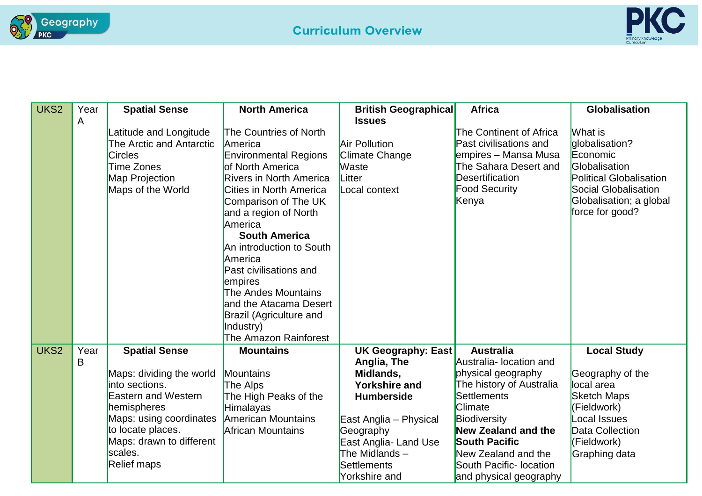



| UKS <sub>2</sub> | Year | <b>Spatial Sense</b>       | <b>North America</b>           | <b>British Geographical</b> | <b>Africa</b>              | <b>Globalisation</b>           |
|------------------|------|----------------------------|--------------------------------|-----------------------------|----------------------------|--------------------------------|
|                  | A    |                            |                                | <b>Issues</b>               |                            |                                |
|                  |      | Latitude and Longitude     | The Countries of North         |                             | The Continent of Africa    | What is                        |
|                  |      | The Arctic and Antarctic   | America                        | <b>Air Pollution</b>        | Past civilisations and     | globalisation?                 |
|                  |      | <b>Circles</b>             | <b>Environmental Regions</b>   | <b>Climate Change</b>       | empires – Mansa Musa       | Economic                       |
|                  |      | <b>Time Zones</b>          | of North America               | <b>Waste</b>                | The Sahara Desert and      | Globalisation                  |
|                  |      | Map Projection             | <b>Rivers in North America</b> | Litter                      | <b>Desertification</b>     | <b>Political Globalisation</b> |
|                  |      | Maps of the World          | <b>Cities in North America</b> | Local context               | <b>Food Security</b>       | Social Globalisation           |
|                  |      |                            | Comparison of The UK           |                             | Kenya                      | Globalisation; a global        |
|                  |      |                            | and a region of North          |                             |                            | force for good?                |
|                  |      |                            | America                        |                             |                            |                                |
|                  |      |                            | <b>South America</b>           |                             |                            |                                |
|                  |      |                            | An introduction to South       |                             |                            |                                |
|                  |      |                            | America                        |                             |                            |                                |
|                  |      |                            | Past civilisations and         |                             |                            |                                |
|                  |      |                            | empires                        |                             |                            |                                |
|                  |      |                            | The Andes Mountains            |                             |                            |                                |
|                  |      |                            | and the Atacama Desert         |                             |                            |                                |
|                  |      |                            | <b>Brazil (Agriculture and</b> |                             |                            |                                |
|                  |      |                            | Industry)                      |                             |                            |                                |
|                  |      |                            | The Amazon Rainforest          |                             |                            |                                |
| UKS <sub>2</sub> | Year | <b>Spatial Sense</b>       | <b>Mountains</b>               | <b>UK Geography: East</b>   | <b>Australia</b>           | <b>Local Study</b>             |
|                  | B    |                            |                                | Anglia, The                 | Australia- location and    |                                |
|                  |      | Maps: dividing the world   | Mountains                      | Midlands,                   | physical geography         | Geography of the               |
|                  |      | into sections.             | The Alps                       | <b>Yorkshire and</b>        | The history of Australia   | local area                     |
|                  |      | <b>Eastern and Western</b> | The High Peaks of the          | <b>Humberside</b>           | <b>Settlements</b>         | <b>Sketch Maps</b>             |
|                  |      | hemispheres                | <b>Himalayas</b>               |                             | <b>Climate</b>             | (Fieldwork)                    |
|                  |      | Maps: using coordinates    | <b>American Mountains</b>      | East Anglia - Physical      | Biodiversity               | cocal Issues                   |
|                  |      | to locate places.          | <b>African Mountains</b>       | Geography                   | <b>New Zealand and the</b> | Data Collection                |
|                  |      | Maps: drawn to different   |                                | East Anglia- Land Use       | <b>South Pacific</b>       | (Fieldwork)                    |
|                  |      | scales.                    |                                | The Midlands $-$            | New Zealand and the        | Graphing data                  |
|                  |      | <b>Relief maps</b>         |                                | Settlements                 | South Pacific- location    |                                |
|                  |      |                            |                                | Yorkshire and               | and physical geography     |                                |